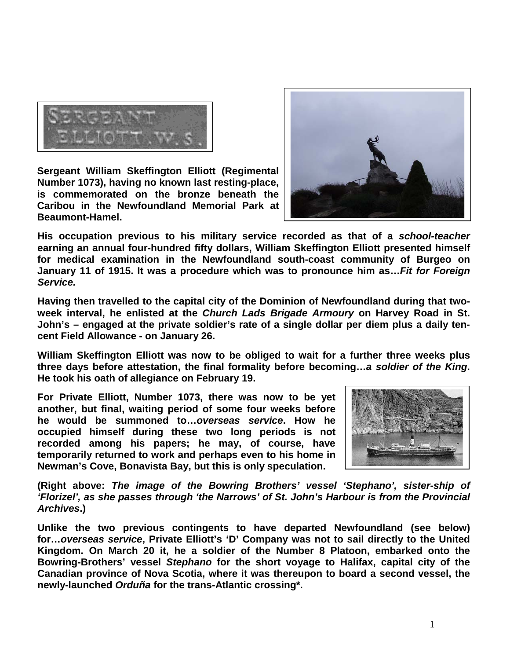

**Sergeant William Skeffington Elliott (Regimental Number 1073), having no known last resting-place, is commemorated on the bronze beneath the Caribou in the Newfoundland Memorial Park at Beaumont-Hamel.** 



**His occupation previous to his military service recorded as that of a** *school-teacher* **earning an annual four-hundred fifty dollars, William Skeffington Elliott presented himself for medical examination in the Newfoundland south-coast community of Burgeo on January 11 of 1915. It was a procedure which was to pronounce him as…***Fit for Foreign Service.*

**Having then travelled to the capital city of the Dominion of Newfoundland during that twoweek interval, he enlisted at the** *Church Lads Brigade Armoury* **on Harvey Road in St. John's – engaged at the private soldier's rate of a single dollar per diem plus a daily tencent Field Allowance - on January 26.**

**William Skeffington Elliott was now to be obliged to wait for a further three weeks plus three days before attestation, the final formality before becoming…***a soldier of the King***. He took his oath of allegiance on February 19.**

**For Private Elliott, Number 1073, there was now to be yet another, but final, waiting period of some four weeks before he would be summoned to…***overseas service***. How he occupied himself during these two long periods is not recorded among his papers; he may, of course, have temporarily returned to work and perhaps even to his home in Newman's Cove, Bonavista Bay, but this is only speculation.**



**(Right above:** *The image of the Bowring Brothers' vessel 'Stephano', sister-ship of 'Florizel', as she passes through 'the Narrows' of St. John's Harbour is from the Provincial Archives***.)** 

**Unlike the two previous contingents to have departed Newfoundland (see below) for…***overseas service***, Private Elliott's 'D' Company was not to sail directly to the United Kingdom. On March 20 it, he a soldier of the Number 8 Platoon, embarked onto the Bowring-Brothers' vessel** *Stephano* **for the short voyage to Halifax, capital city of the Canadian province of Nova Scotia, where it was thereupon to board a second vessel, the newly-launched** *Orduña* **for the trans-Atlantic crossing\*.**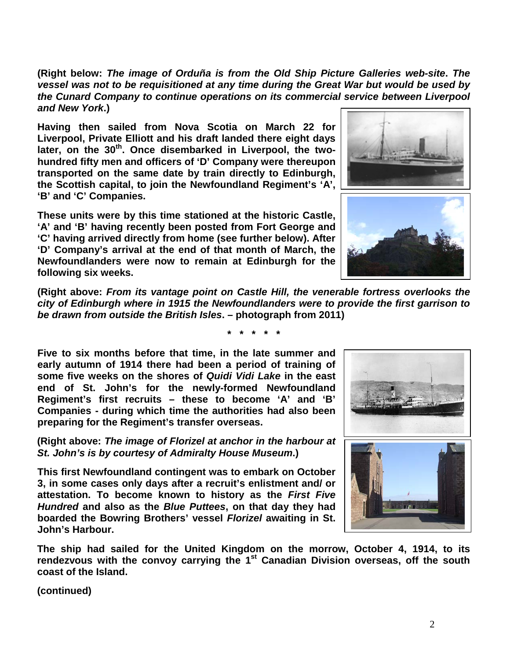**(Right below:** *The image of Orduña is from the Old Ship Picture Galleries web-site***.** *The vessel was not to be requisitioned at any time during the Great War but would be used by the Cunard Company to continue operations on its commercial service between Liverpool and New York***.)**

**Having then sailed from Nova Scotia on March 22 for Liverpool, Private Elliott and his draft landed there eight days later, on the 30th. Once disembarked in Liverpool, the twohundred fifty men and officers of 'D' Company were thereupon transported on the same date by train directly to Edinburgh, the Scottish capital, to join the Newfoundland Regiment's 'A', 'B' and 'C' Companies.** 

**These units were by this time stationed at the historic Castle, 'A' and 'B' having recently been posted from Fort George and 'C' having arrived directly from home (see further below). After 'D' Company's arrival at the end of that month of March, the Newfoundlanders were now to remain at Edinburgh for the following six weeks.** 

**(Right above:** *From its vantage point on Castle Hill, the venerable fortress overlooks the city of Edinburgh where in 1915 the Newfoundlanders were to provide the first garrison to be drawn from outside the British Isles***. – photograph from 2011)** 

**\* \* \* \* \***

**Five to six months before that time, in the late summer and early autumn of 1914 there had been a period of training of some five weeks on the shores of** *Quidi Vidi Lake* **in the east end of St. John's for the newly-formed Newfoundland Regiment's first recruits – these to become 'A' and 'B' Companies - during which time the authorities had also been preparing for the Regiment's transfer overseas.**

**(Right above:** *The image of Florizel at anchor in the harbour at St. John's is by courtesy of Admiralty House Museum***.)**

**This first Newfoundland contingent was to embark on October 3, in some cases only days after a recruit's enlistment and/ or attestation. To become known to history as the** *First Five Hundred* **and also as the** *Blue Puttees***, on that day they had boarded the Bowring Brothers' vessel** *Florizel* **awaiting in St. John's Harbour.**

**The ship had sailed for the United Kingdom on the morrow, October 4, 1914, to its rendezvous with the convoy carrying the 1st Canadian Division overseas, off the south coast of the Island.** 

**(continued)**







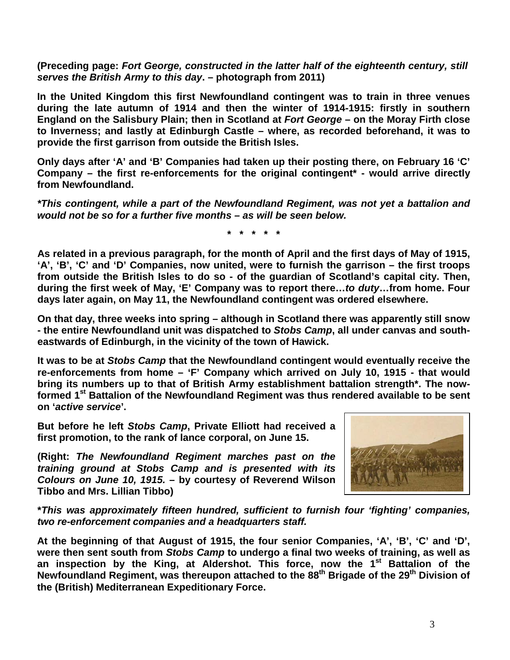**(Preceding page:** *Fort George, constructed in the latter half of the eighteenth century, still serves the British Army to this day***. – photograph from 2011)**

**In the United Kingdom this first Newfoundland contingent was to train in three venues during the late autumn of 1914 and then the winter of 1914-1915: firstly in southern England on the Salisbury Plain; then in Scotland at** *Fort George* **– on the Moray Firth close to Inverness; and lastly at Edinburgh Castle – where, as recorded beforehand, it was to provide the first garrison from outside the British Isles.** 

**Only days after 'A' and 'B' Companies had taken up their posting there, on February 16 'C' Company – the first re-enforcements for the original contingent\* - would arrive directly from Newfoundland.**

*\*This contingent, while a part of the Newfoundland Regiment, was not yet a battalion and would not be so for a further five months – as will be seen below.*

**\* \* \* \* \***

**As related in a previous paragraph, for the month of April and the first days of May of 1915, 'A', 'B', 'C' and 'D' Companies, now united, were to furnish the garrison – the first troops from outside the British Isles to do so - of the guardian of Scotland's capital city. Then, during the first week of May, 'E' Company was to report there…***to duty***…from home. Four days later again, on May 11, the Newfoundland contingent was ordered elsewhere.** 

**On that day, three weeks into spring – although in Scotland there was apparently still snow - the entire Newfoundland unit was dispatched to** *Stobs Camp***, all under canvas and southeastwards of Edinburgh, in the vicinity of the town of Hawick.**

**It was to be at** *Stobs Camp* **that the Newfoundland contingent would eventually receive the re-enforcements from home – 'F' Company which arrived on July 10, 1915 - that would bring its numbers up to that of British Army establishment battalion strength\*. The nowformed 1st Battalion of the Newfoundland Regiment was thus rendered available to be sent on '***active service***'.**

**But before he left** *Stobs Camp***, Private Elliott had received a first promotion, to the rank of lance corporal, on June 15.**

**(Right:** *The Newfoundland Regiment marches past on the training ground at Stobs Camp and is presented with its Colours on June 10, 1915.* **– by courtesy of Reverend Wilson Tibbo and Mrs. Lillian Tibbo)**



**\****This was approximately fifteen hundred, sufficient to furnish four 'fighting' companies, two re-enforcement companies and a headquarters staff.*

**At the beginning of that August of 1915, the four senior Companies, 'A', 'B', 'C' and 'D', were then sent south from** *Stobs Camp* **to undergo a final two weeks of training, as well as an inspection by the King, at Aldershot. This force, now the 1st Battalion of the Newfoundland Regiment, was thereupon attached to the 88th Brigade of the 29th Division of the (British) Mediterranean Expeditionary Force.**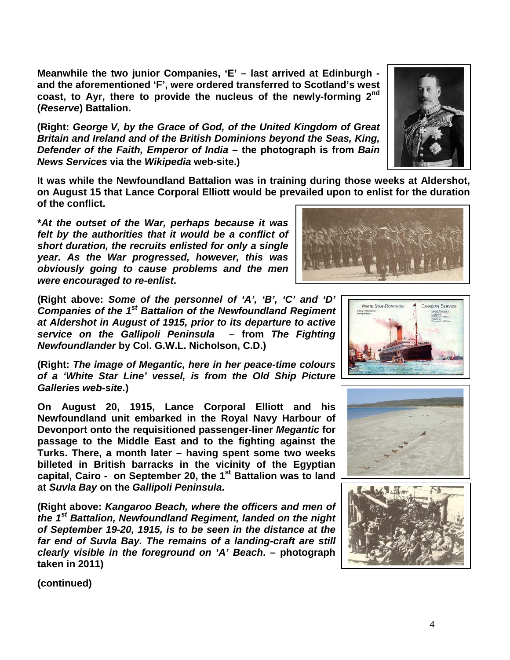**at** *Suvla Bay* **on the** *Gallipoli Peninsula***.**

**(Right above:** *Kangaroo Beach, where the officers and men of the 1st Battalion, Newfoundland Regiment, landed on the night of September 19-20, 1915, is to be seen in the distance at the far end of Suvla Bay. The remains of a landing-craft are still clearly visible in the foreground on 'A' Beach***. – photograph taken in 2011)**

**(continued)**

**Meanwhile the two junior Companies, 'E' – last arrived at Edinburgh and the aforementioned 'F', were ordered transferred to Scotland's west coast, to Ayr, there to provide the nucleus of the newly-forming 2nd (***Reserve***) Battalion.**

**(Right:** *George V, by the Grace of God, of the United Kingdom of Great Britain and Ireland and of the British Dominions beyond the Seas, King, Defender of the Faith, Emperor of India* **– the photograph is from** *Bain News Services* **via the** *Wikipedia* **web-site.)**

**It was while the Newfoundland Battalion was in training during those weeks at Aldershot, on August 15 that Lance Corporal Elliott would be prevailed upon to enlist for the duration of the conflict.**

**\****At the outset of the War, perhaps because it was felt by the authorities that it would be a conflict of short duration, the recruits enlisted for only a single year. As the War progressed, however, this was obviously going to cause problems and the men were encouraged to re-enlist***.**

**(Right above:** *Some of the personnel of 'A', 'B', 'C' and 'D' Companies of the 1st Battalion of the Newfoundland Regiment at Aldershot in August of 1915, prior to its departure to active service on the Gallipoli Peninsula* **– from** *The Fighting Newfoundlander* **by Col. G.W.L. Nicholson, C.D.)**

**(Right:** *The image of Megantic, here in her peace-time colours of a 'White Star Line' vessel, is from the Old Ship Picture Galleries web-site***.)**

**On August 20, 1915, Lance Corporal Elliott and his Newfoundland unit embarked in the Royal Navy Harbour of Devonport onto the requisitioned passenger-liner** *Megantic* **for passage to the Middle East and to the fighting against the Turks. There, a month later – having spent some two weeks billeted in British barracks in the vicinity of the Egyptian**  capital, Cairo - on September 20, the 1<sup>st</sup> Battalion was to land







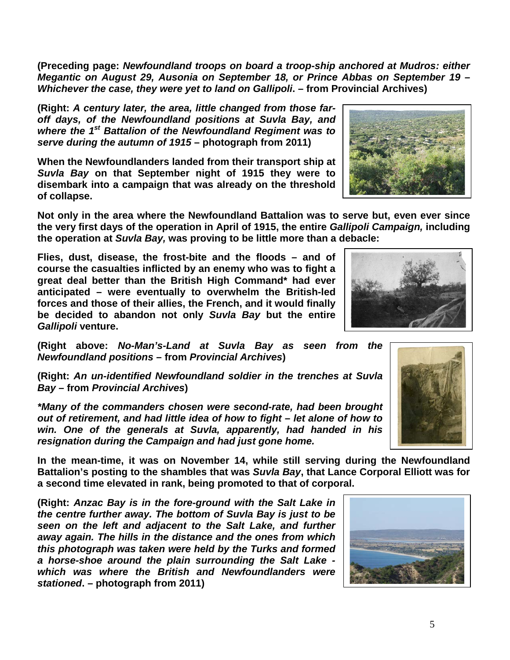**(Preceding page:** *Newfoundland troops on board a troop-ship anchored at Mudros: either Megantic on August 29, Ausonia on September 18, or Prince Abbas on September 19 – Whichever the case, they were yet to land on Gallipoli***. – from Provincial Archives)**

**(Right:** *A century later, the area, little changed from those faroff days, of the Newfoundland positions at Suvla Bay, and where the 1st Battalion of the Newfoundland Regiment was to serve during the autumn of 1915* **– photograph from 2011)**

**When the Newfoundlanders landed from their transport ship at**  *Suvla Bay* **on that September night of 1915 they were to disembark into a campaign that was already on the threshold of collapse.**

**Not only in the area where the Newfoundland Battalion was to serve but, even ever since the very first days of the operation in April of 1915, the entire** *Gallipoli Campaign,* **including the operation at** *Suvla Bay,* **was proving to be little more than a debacle:**

**Flies, dust, disease, the frost-bite and the floods – and of course the casualties inflicted by an enemy who was to fight a great deal better than the British High Command\* had ever anticipated – were eventually to overwhelm the British-led forces and those of their allies, the French, and it would finally be decided to abandon not only** *Suvla Bay* **but the entire**  *Gallipoli* **venture.**

**(Right above:** *No-Man's-Land at Suvla Bay as seen from the Newfoundland positions* **– from** *Provincial Archives***)**

**(Right:** *An un-identified Newfoundland soldier in the trenches at Suvla Bay –* **from** *Provincial Archives***)**

*\*Many of the commanders chosen were second-rate, had been brought out of retirement, and had little idea of how to fight – let alone of how to win. One of the generals at Suvla, apparently, had handed in his resignation during the Campaign and had just gone home.*

**In the mean-time, it was on November 14, while still serving during the Newfoundland Battalion's posting to the shambles that was** *Suvla Bay***, that Lance Corporal Elliott was for a second time elevated in rank, being promoted to that of corporal.**

**(Right:** *Anzac Bay is in the fore-ground with the Salt Lake in the centre further away. The bottom of Suvla Bay is just to be seen on the left and adjacent to the Salt Lake, and further away again. The hills in the distance and the ones from which this photograph was taken were held by the Turks and formed a horse-shoe around the plain surrounding the Salt Lake which was where the British and Newfoundlanders were stationed***. – photograph from 2011)**







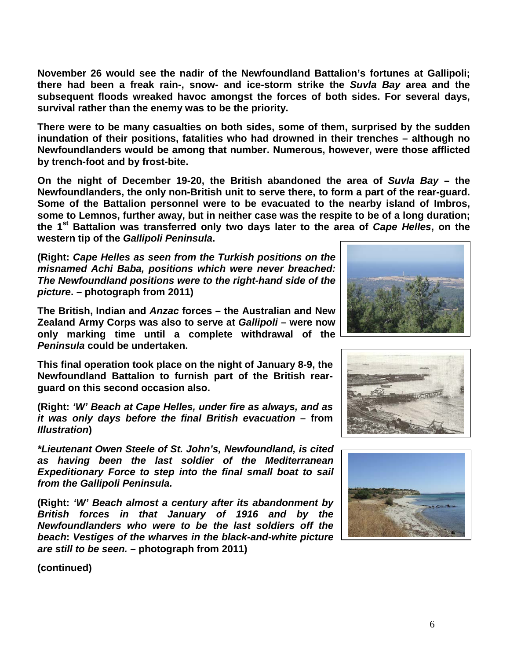**November 26 would see the nadir of the Newfoundland Battalion's fortunes at Gallipoli; there had been a freak rain-, snow- and ice-storm strike the** *Suvla Bay* **area and the subsequent floods wreaked havoc amongst the forces of both sides. For several days, survival rather than the enemy was to be the priority.**

**There were to be many casualties on both sides, some of them, surprised by the sudden inundation of their positions, fatalities who had drowned in their trenches – although no Newfoundlanders would be among that number. Numerous, however, were those afflicted by trench-foot and by frost-bite.**

**On the night of December 19-20, the British abandoned the area of** *Suvla Bay* **– the Newfoundlanders, the only non-British unit to serve there, to form a part of the rear-guard. Some of the Battalion personnel were to be evacuated to the nearby island of Imbros, some to Lemnos, further away, but in neither case was the respite to be of a long duration; the 1st Battalion was transferred only two days later to the area of** *Cape Helles***, on the western tip of the** *Gallipoli Peninsula***.**

**(Right:** *Cape Helles as seen from the Turkish positions on the misnamed Achi Baba, positions which were never breached: The Newfoundland positions were to the right-hand side of the picture***. – photograph from 2011)**

**The British, Indian and** *Anzac* **forces – the Australian and New Zealand Army Corps was also to serve at** *Gallipoli* **– were now only marking time until a complete withdrawal of the**  *Peninsula* **could be undertaken.** 

**This final operation took place on the night of January 8-9, the Newfoundland Battalion to furnish part of the British rearguard on this second occasion also.**

**(Right:** *'W' Beach at Cape Helles, under fire as always, and as it was only days before the final British evacuation* **– from**  *Illustration***)**

*\*Lieutenant Owen Steele of St. John's, Newfoundland, is cited as having been the last soldier of the Mediterranean Expeditionary Force to step into the final small boat to sail from the Gallipoli Peninsula.*

**(Right:** *'W' Beach almost a century after its abandonment by British forces in that January of 1916 and by the Newfoundlanders who were to be the last soldiers off the beach***:** *Vestiges of the wharves in the black-and-white picture are still to be seen.* **– photograph from 2011)**







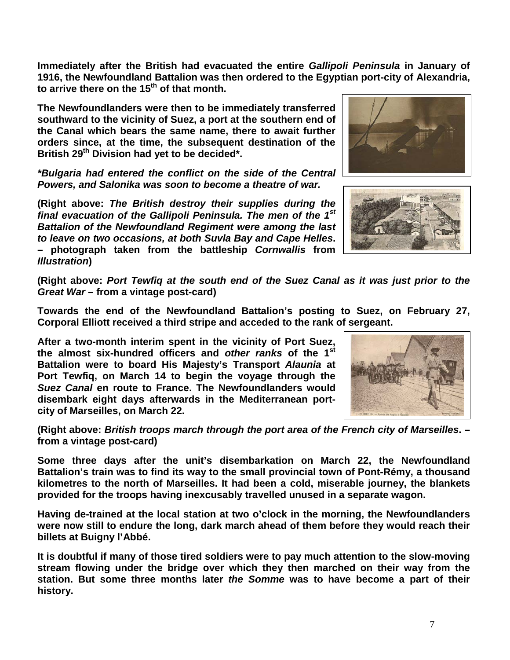**Immediately after the British had evacuated the entire** *Gallipoli Peninsula* **in January of 1916, the Newfoundland Battalion was then ordered to the Egyptian port-city of Alexandria, to arrive there on the 15th of that month.** 

**The Newfoundlanders were then to be immediately transferred southward to the vicinity of Suez, a port at the southern end of the Canal which bears the same name, there to await further orders since, at the time, the subsequent destination of the British 29th Division had yet to be decided\*.**

*\*Bulgaria had entered the conflict on the side of the Central Powers, and Salonika was soon to become a theatre of war.*

**(Right above:** *The British destroy their supplies during the final evacuation of the Gallipoli Peninsula. The men of the 1st Battalion of the Newfoundland Regiment were among the last to leave on two occasions, at both Suvla Bay and Cape Helles***. – photograph taken from the battleship** *Cornwallis* **from**  *Illustration***)**





**(Right above:** *Port Tewfiq at the south end of the Suez Canal as it was just prior to the Great War* **– from a vintage post-card)**

**Towards the end of the Newfoundland Battalion's posting to Suez, on February 27, Corporal Elliott received a third stripe and acceded to the rank of sergeant.**

**After a two-month interim spent in the vicinity of Port Suez, the almost six-hundred officers and** *other ranks* **of the 1st Battalion were to board His Majesty's Transport** *Alaunia* **at Port Tewfiq, on March 14 to begin the voyage through the**  *Suez Canal* **en route to France. The Newfoundlanders would disembark eight days afterwards in the Mediterranean portcity of Marseilles, on March 22.**



**(Right above:** *British troops march through the port area of the French city of Marseilles***. – from a vintage post-card)**

**Some three days after the unit's disembarkation on March 22, the Newfoundland Battalion's train was to find its way to the small provincial town of Pont-Rémy, a thousand kilometres to the north of Marseilles. It had been a cold, miserable journey, the blankets provided for the troops having inexcusably travelled unused in a separate wagon.**

**Having de-trained at the local station at two o'clock in the morning, the Newfoundlanders were now still to endure the long, dark march ahead of them before they would reach their billets at Buigny l'Abbé.**

**It is doubtful if many of those tired soldiers were to pay much attention to the slow-moving stream flowing under the bridge over which they then marched on their way from the station. But some three months later** *the Somme* **was to have become a part of their history.**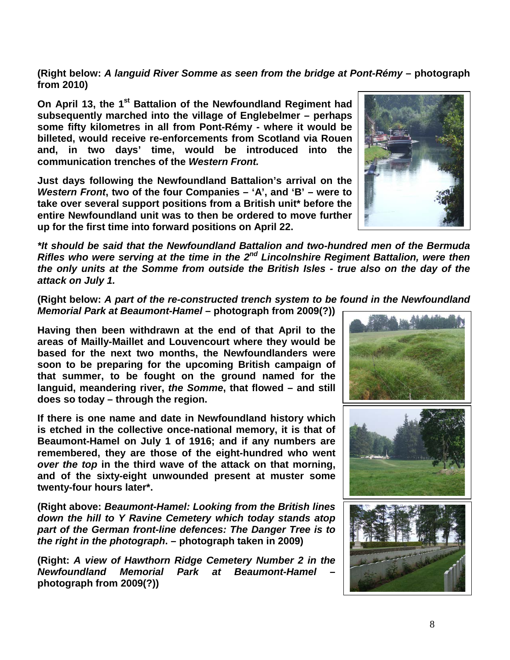8

**(Right below:** *A languid River Somme as seen from the bridge at Pont-Rémy* **– photograph from 2010)**

**On April 13, the 1<sup>st</sup> Battalion of the Newfoundland Regiment had subsequently marched into the village of Englebelmer – perhaps some fifty kilometres in all from Pont-Rémy - where it would be billeted, would receive re-enforcements from Scotland via Rouen and, in two days' time, would be introduced into the communication trenches of the** *Western Front.*

**Just days following the Newfoundland Battalion's arrival on the**  *Western Front***, two of the four Companies – 'A', and 'B' – were to take over several support positions from a British unit\* before the entire Newfoundland unit was to then be ordered to move further up for the first time into forward positions on April 22.**

*\*It should be said that the Newfoundland Battalion and two-hundred men of the Bermuda Rifles who were serving at the time in the 2nd Lincolnshire Regiment Battalion, were then the only units at the Somme from outside the British Isles - true also on the day of the attack on July 1.*

**(Right below:** *A part of the re-constructed trench system to be found in the Newfoundland Memorial Park at Beaumont-Hamel* **– photograph from 2009(?))**

**Having then been withdrawn at the end of that April to the areas of Mailly-Maillet and Louvencourt where they would be based for the next two months, the Newfoundlanders were soon to be preparing for the upcoming British campaign of that summer, to be fought on the ground named for the languid, meandering river,** *the Somme***, that flowed – and still does so today – through the region.** 

**If there is one name and date in Newfoundland history which is etched in the collective once-national memory, it is that of Beaumont-Hamel on July 1 of 1916; and if any numbers are remembered, they are those of the eight-hundred who went**  *over the top* **in the third wave of the attack on that morning, and of the sixty-eight unwounded present at muster some twenty-four hours later\*.**

**(Right above:** *Beaumont-Hamel: Looking from the British lines down the hill to Y Ravine Cemetery which today stands atop part of the German front-line defences: The Danger Tree is to the right in the photograph***. – photograph taken in 2009)**

**(Right:** *A view of Hawthorn Ridge Cemetery Number 2 in the Newfoundland Memorial Park at Beaumont-Hamel* **– photograph from 2009(?))**